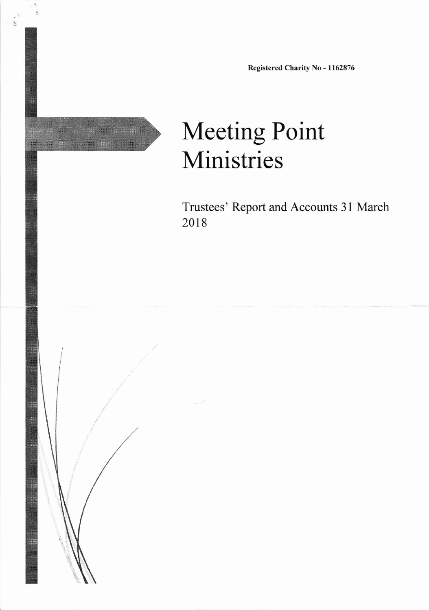Registered Charity No - 1162876

# Meeting Point Ministries

Trustees' Report and Accounts 31 March 2018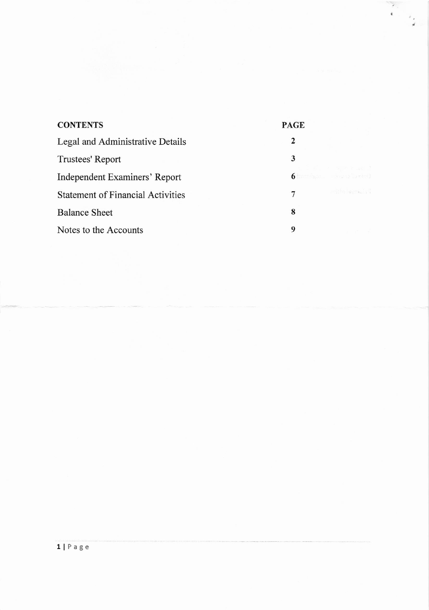| <b>CONTENTS</b>                          | <b>PAGE</b> |                                          |
|------------------------------------------|-------------|------------------------------------------|
| Legal and Administrative Details         | 2           |                                          |
| Trustees' Report                         | 3           |                                          |
| Independent Examiners' Report            |             | a sa santa sa<br>6 Barrison - Espagnisen |
| <b>Statement of Financial Activities</b> | 7           | and the service of                       |
| <b>Balance Sheet</b>                     | 8           |                                          |
| Notes to the Accounts                    | 9           |                                          |

 $\begin{bmatrix} 1 \\ 0 \\ 0 \\ 0 \end{bmatrix}$ 

 $\frac{1}{2}$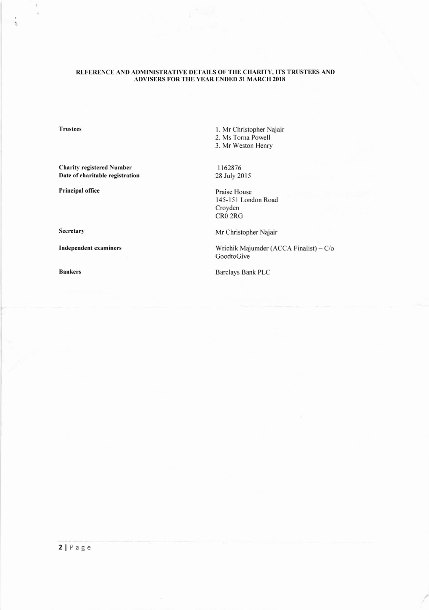## REFERENCE AND ADMINISTRATIVE DETAILS OF THE CHARITY, ITS TRUSTEES AND ADVISERS FOR THE YEAR ENDED 31 MARCH 2018

**Trustees** 

 $\hat{\boldsymbol{s}}$ s

į

**Charity registered Number** Date of charitable registration

Principal office

Secretary

**Independent examiners** 

**Bankers** 

1. Mr Christopher Najair 2. Ms Torna Powell 3. Mr Weston Henry

1162876 28 July 2015

Praise House 145-151 London Road Croyden CR0 2RG

Mr Christopher Najair

Wrichik Majumder (ACCA Finalist) - C/o GoodtoGive

**Barclays Bank PLC**